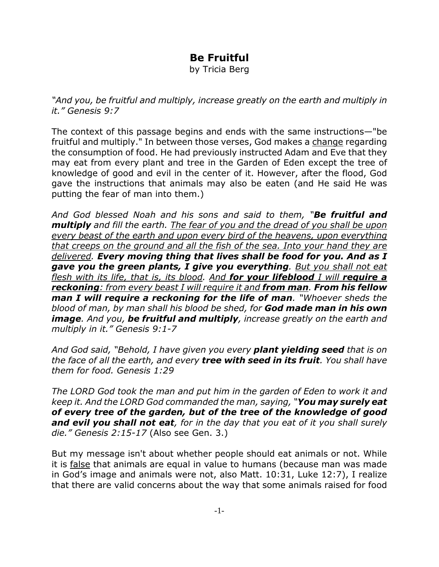## **Be Fruitful**

by Tricia Berg

*"And you, be fruitful and multiply, increase greatly on the earth and multiply in it." Genesis 9:7*

The context of this passage begins and ends with the same instructions—"be fruitful and multiply." In between those verses, God makes a change regarding the consumption of food. He had previously instructed Adam and Eve that they may eat from every plant and tree in the Garden of Eden except the tree of knowledge of good and evil in the center of it. However, after the flood, God gave the instructions that animals may also be eaten (and He said He was putting the fear of man into them.)

*And God blessed Noah and his sons and said to them, "Be fruitful and multiply and fill the earth. The fear of you and the dread of you shall be upon every beast of the earth and upon every bird of the heavens, upon everything that creeps on the ground and all the fish of the sea. Into your hand they are delivered. Every moving thing that lives shall be food for you. And as I gave you the green plants, I give you everything. But you shall not eat flesh with its life, that is, its blood. And for your lifeblood I will require a reckoning: from every beast I will require it and from man. From his fellow man I will require a reckoning for the life of man. "Whoever sheds the blood of man, by man shall his blood be shed, for God made man in his own image. And you, be fruitful and multiply, increase greatly on the earth and multiply in it." Genesis 9:1-7*

*And God said, "Behold, I have given you every plant yielding seed that is on the face of all the earth, and every tree with seed in its fruit. You shall have them for food. Genesis 1:29*

*The LORD God took the man and put him in the garden of Eden to work it and keep it. And the LORD God commanded the man, saying, "You may surely eat of every tree of the garden, but of the tree of the knowledge of good and evil you shall not eat, for in the day that you eat of it you shall surely die." Genesis 2:15-17* (Also see Gen. 3.)

But my message isn't about whether people should eat animals or not. While it is false that animals are equal in value to humans (because man was made in God's image and animals were not, also Matt. 10:31, Luke 12:7), I realize that there are valid concerns about the way that some animals raised for food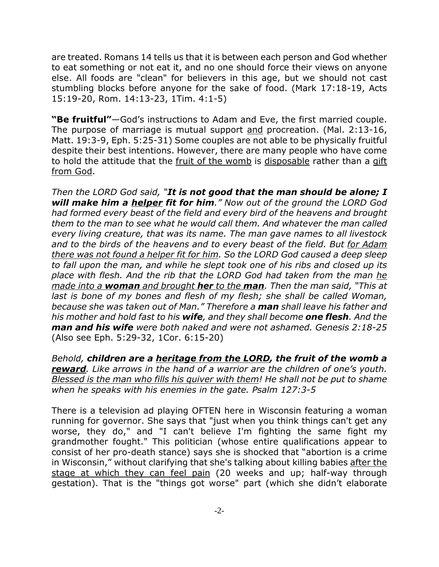are treated. Romans 14 tells us that it is between each person and God whether to eat something or not eat it, and no one should force their views on anyone else. All foods are "clean" for believers in this age, but we should not cast stumbling blocks before anyone for the sake of food. (Mark 17:18-19, Acts 15:19-20, Rom. 14:13-23, 1Tim. 4:1-5)

**"Be fruitful"**—God's instructions to Adam and Eve, the first married couple. The purpose of marriage is mutual support and procreation. (Mal. 2:13-16, Matt. 19:3-9, Eph. 5:25-31) Some couples are not able to be physically fruitful despite their best intentions. However, there are many people who have come to hold the attitude that the fruit of the womb is disposable rather than a gift from God.

*Then the LORD God said, "It is not good that the man should be alone; I will make him a helper fit for him." Now out of the ground the LORD God had formed every beast of the field and every bird of the heavens and brought them to the man to see what he would call them. And whatever the man called every living creature, that was its name. The man gave names to all livestock and to the birds of the heavens and to every beast of the field. But for Adam there was not found a helper fit for him. So the LORD God caused a deep sleep to fall upon the man, and while he slept took one of his ribs and closed up its place with flesh. And the rib that the LORD God had taken from the man he made into a woman and brought her to the man. Then the man said, "This at last is bone of my bones and flesh of my flesh; she shall be called Woman, because she was taken out of Man." Therefore a man shall leave his father and his mother and hold fast to his wife, and they shall become one flesh. And the man and his wife were both naked and were not ashamed. Genesis 2:18-25* (Also see Eph. 5:29-32, 1Cor. 6:15-20)

*Behold, children are a heritage from the LORD, the fruit of the womb a reward. Like arrows in the hand of a warrior are the children of one's youth. Blessed is the man who fills his quiver with them! He shall not be put to shame when he speaks with his enemies in the gate. Psalm 127:3-5*

There is a television ad playing OFTEN here in Wisconsin featuring a woman running for governor. She says that "just when you think things can't get any worse, they do," and "I can't believe I'm fighting the same fight my grandmother fought." This politician (whose entire qualifications appear to consist of her pro-death stance) says she is shocked that "abortion is a crime in Wisconsin," without clarifying that she's talking about killing babies after the stage at which they can feel pain (20 weeks and up; half-way through gestation). That is the "things got worse" part (which she didn't elaborate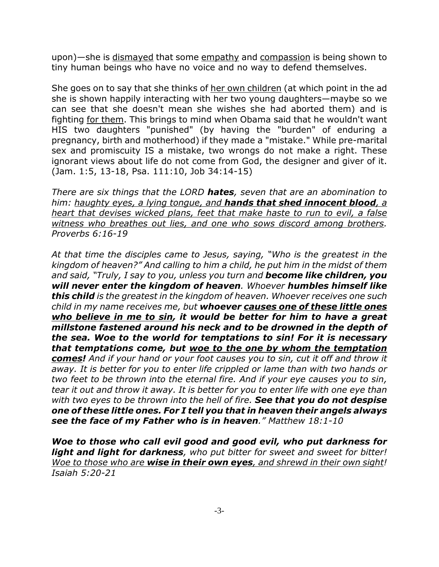upon)—she is dismayed that some empathy and compassion is being shown to tiny human beings who have no voice and no way to defend themselves.

She goes on to say that she thinks of her own children (at which point in the ad she is shown happily interacting with her two young daughters—maybe so we can see that she doesn't mean she wishes she had aborted them) and is fighting for them. This brings to mind when Obama said that he wouldn't want HIS two daughters "punished" (by having the "burden" of enduring a pregnancy, birth and motherhood) if they made a "mistake." While pre-marital sex and promiscuity IS a mistake, two wrongs do not make a right. These ignorant views about life do not come from God, the designer and giver of it. (Jam. 1:5, 13-18, Psa. 111:10, Job 34:14-15)

*There are six things that the LORD hates, seven that are an abomination to him: haughty eyes, a lying tongue, and hands that shed innocent blood, a heart that devises wicked plans, feet that make haste to run to evil, a false witness who breathes out lies, and one who sows discord among brothers. Proverbs 6:16-19*

*At that time the disciples came to Jesus, saying, "Who is the greatest in the kingdom of heaven?" And calling to him a child, he put him in the midst of them and said, "Truly, I say to you, unless you turn and become like children, you will never enter the kingdom of heaven. Whoever humbles himself like this child is the greatest in the kingdom of heaven. Whoever receives one such child in my name receives me, but whoever causes one of these little ones who believe in me to sin, it would be better for him to have a great millstone fastened around his neck and to be drowned in the depth of the sea. Woe to the world for temptations to sin! For it is necessary that temptations come, but woe to the one by whom the temptation comes! And if your hand or your foot causes you to sin, cut it off and throw it away. It is better for you to enter life crippled or lame than with two hands or two feet to be thrown into the eternal fire. And if your eye causes you to sin, tear it out and throw it away. It is better for you to enter life with one eye than with two eyes to be thrown into the hell of fire. See that you do not despise one of these little ones. For I tell you that in heaven their angels always see the face of my Father who is in heaven." Matthew 18:1-10*

*Woe to those who call evil good and good evil, who put darkness for light and light for darkness, who put bitter for sweet and sweet for bitter! Woe to those who are wise in their own eyes, and shrewd in their own sight! Isaiah 5:20-21*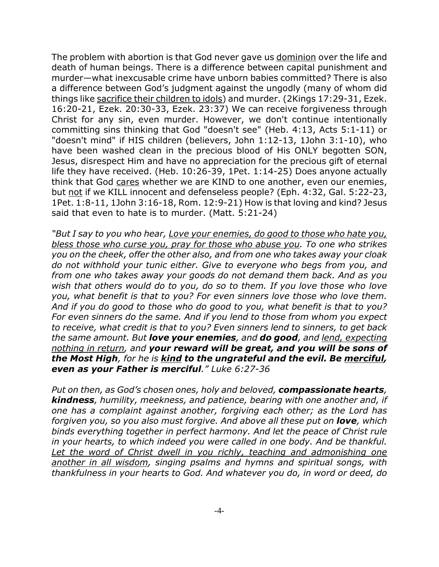The problem with abortion is that God never gave us dominion over the life and death of human beings. There is a difference between capital punishment and murder—what inexcusable crime have unborn babies committed? There is also a difference between God's judgment against the ungodly (many of whom did things like sacrifice their children to idols) and murder. (2Kings 17:29-31, Ezek. 16:20-21, Ezek. 20:30-33, Ezek. 23:37) We can receive forgiveness through Christ for any sin, even murder. However, we don't continue intentionally committing sins thinking that God "doesn't see" (Heb. 4:13, Acts 5:1-11) or "doesn't mind" if HIS children (believers, John 1:12-13, 1John 3:1-10), who have been washed clean in the precious blood of His ONLY begotten SON, Jesus, disrespect Him and have no appreciation for the precious gift of eternal life they have received. (Heb. 10:26-39, 1Pet. 1:14-25) Does anyone actually think that God cares whether we are KIND to one another, even our enemies, but not if we KILL innocent and defenseless people? (Eph. 4:32, Gal. 5:22-23, 1Pet. 1:8-11, 1John 3:16-18, Rom. 12:9-21) How is that loving and kind? Jesus said that even to hate is to murder. (Matt. 5:21-24)

*"But I say to you who hear, Love your enemies, do good to those who hate you, bless those who curse you, pray for those who abuse you. To one who strikes you on the cheek, offer the other also, and from one who takes away your cloak do not withhold your tunic either. Give to everyone who begs from you, and from one who takes away your goods do not demand them back. And as you wish that others would do to you, do so to them. If you love those who love you, what benefit is that to you? For even sinners love those who love them. And if you do good to those who do good to you, what benefit is that to you? For even sinners do the same. And if you lend to those from whom you expect to receive, what credit is that to you? Even sinners lend to sinners, to get back the same amount. But love your enemies, and do good, and lend, expecting nothing in return, and your reward will be great, and you will be sons of the Most High, for he is kind to the ungrateful and the evil. Be merciful, even as your Father is merciful." Luke 6:27-36*

*Put on then, as God's chosen ones, holy and beloved, compassionate hearts, kindness, humility, meekness, and patience, bearing with one another and, if one has a complaint against another, forgiving each other; as the Lord has forgiven you, so you also must forgive. And above all these put on love, which binds everything together in perfect harmony. And let the peace of Christ rule in your hearts, to which indeed you were called in one body. And be thankful. Let the word of Christ dwell in you richly, teaching and admonishing one another in all wisdom, singing psalms and hymns and spiritual songs, with thankfulness in your hearts to God. And whatever you do, in word or deed, do*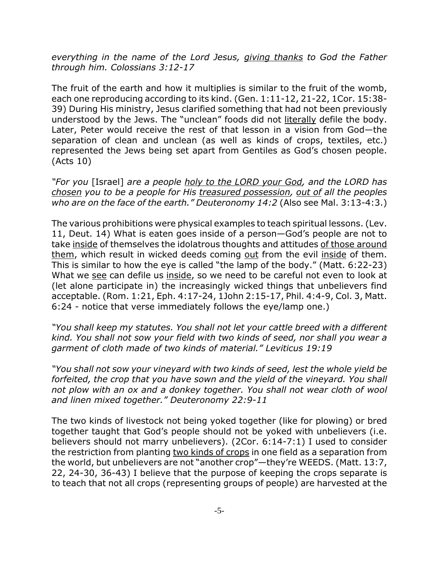*everything in the name of the Lord Jesus, giving thanks to God the Father through him. Colossians 3:12-17*

The fruit of the earth and how it multiplies is similar to the fruit of the womb, each one reproducing according to its kind. (Gen. 1:11-12, 21-22, 1Cor. 15:38- 39) During His ministry, Jesus clarified something that had not been previously understood by the Jews. The "unclean" foods did not literally defile the body. Later, Peter would receive the rest of that lesson in a vision from God—the separation of clean and unclean (as well as kinds of crops, textiles, etc.) represented the Jews being set apart from Gentiles as God's chosen people. (Acts 10)

*"For you* [Israel] *are a people holy to the LORD your God, and the LORD has chosen you to be a people for His treasured possession, out of all the peoples who are on the face of the earth." Deuteronomy 14:2* (Also see Mal. 3:13-4:3.)

The various prohibitions were physical examples to teach spiritual lessons. (Lev. 11, Deut. 14) What is eaten goes inside of a person—God's people are not to take inside of themselves the idolatrous thoughts and attitudes of those around them, which result in wicked deeds coming out from the evil inside of them. This is similar to how the eye is called "the lamp of the body." (Matt. 6:22-23) What we see can defile us inside, so we need to be careful not even to look at (let alone participate in) the increasingly wicked things that unbelievers find acceptable. (Rom. 1:21, Eph. 4:17-24, 1John 2:15-17, Phil. 4:4-9, Col. 3, Matt. 6:24 - notice that verse immediately follows the eye/lamp one.)

*"You shall keep my statutes. You shall not let your cattle breed with a different kind. You shall not sow your field with two kinds of seed, nor shall you wear a garment of cloth made of two kinds of material." Leviticus 19:19*

*"You shall not sow your vineyard with two kinds of seed, lest the whole yield be forfeited, the crop that you have sown and the yield of the vineyard. You shall not plow with an ox and a donkey together. You shall not wear cloth of wool and linen mixed together." Deuteronomy 22:9-11*

The two kinds of livestock not being yoked together (like for plowing) or bred together taught that God's people should not be yoked with unbelievers (i.e. believers should not marry unbelievers). (2Cor. 6:14-7:1) I used to consider the restriction from planting two kinds of crops in one field as a separation from the world, but unbelievers are not "another crop"—they're WEEDS. (Matt. 13:7, 22, 24-30, 36-43) I believe that the purpose of keeping the crops separate is to teach that not all crops (representing groups of people) are harvested at the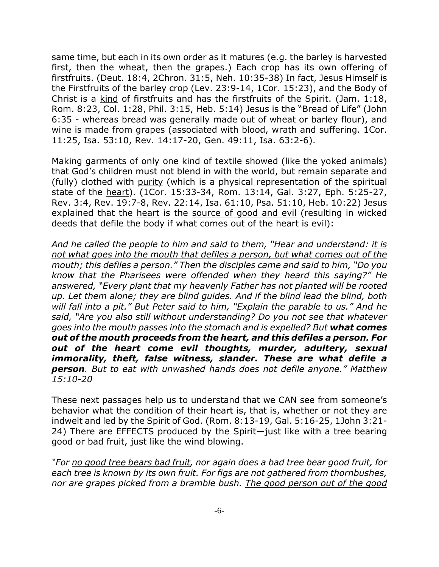same time, but each in its own order as it matures (e.g. the barley is harvested first, then the wheat, then the grapes.) Each crop has its own offering of firstfruits. (Deut. 18:4, 2Chron. 31:5, Neh. 10:35-38) In fact, Jesus Himself is the Firstfruits of the barley crop (Lev. 23:9-14, 1Cor. 15:23), and the Body of Christ is a kind of firstfruits and has the firstfruits of the Spirit. (Jam. 1:18, Rom. 8:23, Col. 1:28, Phil. 3:15, Heb. 5:14) Jesus is the "Bread of Life" (John 6:35 - whereas bread was generally made out of wheat or barley flour), and wine is made from grapes (associated with blood, wrath and suffering. 1Cor. 11:25, Isa. 53:10, Rev. 14:17-20, Gen. 49:11, Isa. 63:2-6).

Making garments of only one kind of textile showed (like the yoked animals) that God's children must not blend in with the world, but remain separate and (fully) clothed with purity (which is a physical representation of the spiritual state of the heart). (1Cor. 15:33-34, Rom. 13:14, Gal. 3:27, Eph. 5:25-27, Rev. 3:4, Rev. 19:7-8, Rev. 22:14, Isa. 61:10, Psa. 51:10, Heb. 10:22) Jesus explained that the heart is the source of good and evil (resulting in wicked deeds that defile the body if what comes out of the heart is evil):

*And he called the people to him and said to them, "Hear and understand: it is not what goes into the mouth that defiles a person, but what comes out of the mouth; this defiles a person." Then the disciples came and said to him, "Do you know that the Pharisees were offended when they heard this saying?" He answered, "Every plant that my heavenly Father has not planted will be rooted up. Let them alone; they are blind guides. And if the blind lead the blind, both will fall into a pit." But Peter said to him, "Explain the parable to us." And he said, "Are you also still without understanding? Do you not see that whatever goes into the mouth passes into the stomach and is expelled? But what comes out of the mouth proceeds from the heart, and this defiles a person. For out of the heart come evil thoughts, murder, adultery, sexual immorality, theft, false witness, slander. These are what defile a person. But to eat with unwashed hands does not defile anyone." Matthew 15:10-20*

These next passages help us to understand that we CAN see from someone's behavior what the condition of their heart is, that is, whether or not they are indwelt and led by the Spirit of God. (Rom. 8:13-19, Gal. 5:16-25, 1John 3:21- 24) There are EFFECTS produced by the Spirit—just like with a tree bearing good or bad fruit, just like the wind blowing.

*"For no good tree bears bad fruit, nor again does a bad tree bear good fruit, for each tree is known by its own fruit. For figs are not gathered from thornbushes, nor are grapes picked from a bramble bush. The good person out of the good*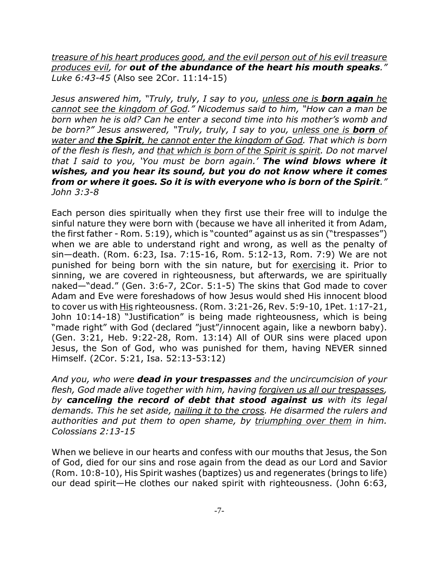*treasure of his heart produces good, and the evil person out of his evil treasure produces evil, for out of the abundance of the heart his mouth speaks." Luke 6:43-45* (Also see 2Cor. 11:14-15)

*Jesus answered him, "Truly, truly, I say to you, unless one is born again he cannot see the kingdom of God." Nicodemus said to him, "How can a man be born when he is old? Can he enter a second time into his mother's womb and be born?" Jesus answered, "Truly, truly, I say to you, unless one is born of water and the Spirit, he cannot enter the kingdom of God. That which is born of the flesh is flesh, and that which is born of the Spirit is spirit. Do not marvel that I said to you, 'You must be born again.' The wind blows where it wishes, and you hear its sound, but you do not know where it comes from or where it goes. So it is with everyone who is born of the Spirit." John 3:3-8*

Each person dies spiritually when they first use their free will to indulge the sinful nature they were born with (because we have all inherited it from Adam, the first father - Rom. 5:19), which is "counted" against us as sin ("trespasses") when we are able to understand right and wrong, as well as the penalty of sin—death. (Rom. 6:23, Isa. 7:15-16, Rom. 5:12-13, Rom. 7:9) We are not punished for being born with the sin nature, but for exercising it. Prior to sinning, we are covered in righteousness, but afterwards, we are spiritually naked—"dead." (Gen. 3:6-7, 2Cor. 5:1-5) The skins that God made to cover Adam and Eve were foreshadows of how Jesus would shed His innocent blood to cover us with His righteousness. (Rom. 3:21-26, Rev. 5:9-10, 1Pet. 1:17-21, John 10:14-18) "Justification" is being made righteousness, which is being "made right" with God (declared "just"/innocent again, like a newborn baby). (Gen. 3:21, Heb. 9:22-28, Rom. 13:14) All of OUR sins were placed upon Jesus, the Son of God, who was punished for them, having NEVER sinned Himself. (2Cor. 5:21, Isa. 52:13-53:12)

*And you, who were dead in your trespasses and the uncircumcision of your flesh, God made alive together with him, having forgiven us all our trespasses, by canceling the record of debt that stood against us with its legal demands. This he set aside, nailing it to the cross. He disarmed the rulers and authorities and put them to open shame, by triumphing over them in him. Colossians 2:13-15*

When we believe in our hearts and confess with our mouths that Jesus, the Son of God, died for our sins and rose again from the dead as our Lord and Savior (Rom. 10:8-10), His Spirit washes (baptizes) us and regenerates (brings to life) our dead spirit—He clothes our naked spirit with righteousness. (John 6:63,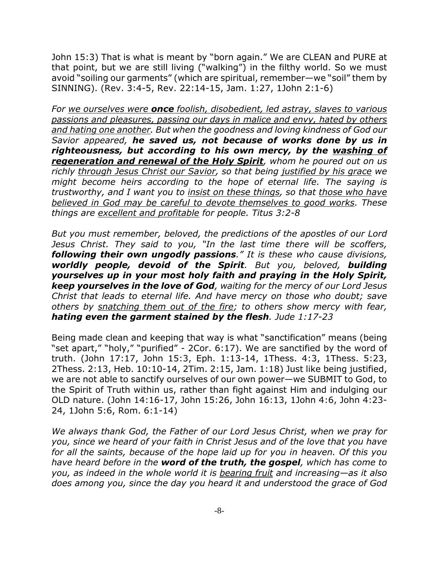John 15:3) That is what is meant by "born again." We are CLEAN and PURE at that point, but we are still living ("walking") in the filthy world. So we must avoid "soiling our garments" (which are spiritual, remember—we "soil" them by SINNING). (Rev. 3:4-5, Rev. 22:14-15, Jam. 1:27, 1John 2:1-6)

*For we ourselves were once foolish, disobedient, led astray, slaves to various passions and pleasures, passing our days in malice and envy, hated by others and hating one another. But when the goodness and loving kindness of God our Savior appeared, he saved us, not because of works done by us in righteousness, but according to his own mercy, by the washing of regeneration and renewal of the Holy Spirit, whom he poured out on us richly through Jesus Christ our Savior, so that being justified by his grace we might become heirs according to the hope of eternal life. The saying is trustworthy, and I want you to insist on these things, so that those who have believed in God may be careful to devote themselves to good works. These things are excellent and profitable for people. Titus 3:2-8*

*But you must remember, beloved, the predictions of the apostles of our Lord Jesus Christ. They said to you, "In the last time there will be scoffers, following their own ungodly passions." It is these who cause divisions, worldly people, devoid of the Spirit. But you, beloved, building yourselves up in your most holy faith and praying in the Holy Spirit, keep yourselves in the love of God, waiting for the mercy of our Lord Jesus Christ that leads to eternal life. And have mercy on those who doubt; save others by snatching them out of the fire; to others show mercy with fear, hating even the garment stained by the flesh. Jude 1:17-23*

Being made clean and keeping that way is what "sanctification" means (being "set apart," "holy," "purified" - 2Cor. 6:17). We are sanctified by the word of truth. (John 17:17, John 15:3, Eph. 1:13-14, 1Thess. 4:3, 1Thess. 5:23, 2Thess. 2:13, Heb. 10:10-14, 2Tim. 2:15, Jam. 1:18) Just like being justified, we are not able to sanctify ourselves of our own power—we SUBMIT to God, to the Spirit of Truth within us, rather than fight against Him and indulging our OLD nature. (John 14:16-17, John 15:26, John 16:13, 1John 4:6, John 4:23- 24, 1John 5:6, Rom. 6:1-14)

*We always thank God, the Father of our Lord Jesus Christ, when we pray for you, since we heard of your faith in Christ Jesus and of the love that you have for all the saints, because of the hope laid up for you in heaven. Of this you have heard before in the word of the truth, the gospel, which has come to you, as indeed in the whole world it is bearing fruit and increasing—as it also does among you, since the day you heard it and understood the grace of God*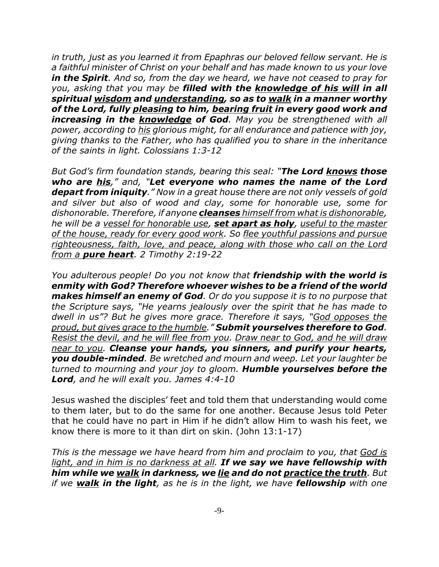*in truth, just as you learned it from Epaphras our beloved fellow servant. He is a faithful minister of Christ on your behalf and has made known to us your love in the Spirit. And so, from the day we heard, we have not ceased to pray for you, asking that you may be filled with the knowledge of his will in all spiritual wisdom and understanding, so as to walk in a manner worthy of the Lord, fully pleasing to him, bearing fruit in every good work and increasing in the knowledge of God. May you be strengthened with all power, according to his glorious might, for all endurance and patience with joy, giving thanks to the Father, who has qualified you to share in the inheritance of the saints in light. Colossians 1:3-12*

*But God's firm foundation stands, bearing this seal: "The Lord knows those who are his," and, "Let everyone who names the name of the Lord depart from iniquity." Now in a great house there are not only vessels of gold and silver but also of wood and clay, some for honorable use, some for dishonorable. Therefore, if anyone cleanses himself from what is dishonorable, he will be a vessel for honorable use, set apart as holy, useful to the master of the house, ready for every good work. So flee youthful passions and pursue righteousness, faith, love, and peace, along with those who call on the Lord from a pure heart. 2 Timothy 2:19-22*

*You adulterous people! Do you not know that friendship with the world is enmity with God? Therefore whoever wishes to be a friend of the world makes himself an enemy of God. Or do you suppose it is to no purpose that the Scripture says, "He yearns jealously over the spirit that he has made to dwell in us"? But he gives more grace. Therefore it says, "God opposes the proud, but gives grace to the humble." Submit yourselves therefore to God. Resist the devil, and he will flee from you. Draw near to God, and he will draw near to you. Cleanse your hands, you sinners, and purify your hearts, you double-minded. Be wretched and mourn and weep. Let your laughter be turned to mourning and your joy to gloom. Humble yourselves before the Lord, and he will exalt you. James 4:4-10*

Jesus washed the disciples' feet and told them that understanding would come to them later, but to do the same for one another. Because Jesus told Peter that he could have no part in Him if he didn't allow Him to wash his feet, we know there is more to it than dirt on skin. (John 13:1-17)

*This is the message we have heard from him and proclaim to you, that God is light, and in him is no darkness at all. If we say we have fellowship with him while we walk in darkness, we lie and do not practice the truth. But if we walk in the light, as he is in the light, we have fellowship with one*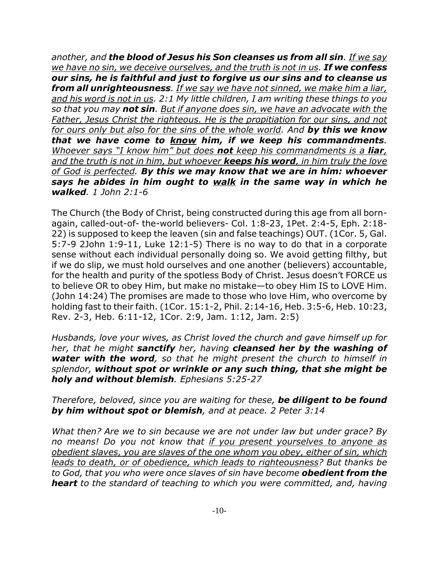*another, and the blood of Jesus his Son cleanses us from all sin. If we say we have no sin, we deceive ourselves, and the truth is not in us. If we confess our sins, he is faithful and just to forgive us our sins and to cleanse us from all unrighteousness. If we say we have not sinned, we make him a liar, and his word is not in us. 2:1 My little children, I am writing these things to you so that you may not sin. But if anyone does sin, we have an advocate with the Father, Jesus Christ the righteous. He is the propitiation for our sins, and not for ours only but also for the sins of the whole world. And by this we know that we have come to know him, if we keep his commandments. Whoever says "I know him" but does not keep his commandments is a liar, and the truth is not in him, but whoever keeps his word, in him truly the love of God is perfected. By this we may know that we are in him: whoever says he abides in him ought to walk in the same way in which he walked. 1 John 2:1-6*

The Church (the Body of Christ, being constructed during this age from all bornagain, called-out-of- the-world believers- Col. 1:8-23, 1Pet. 2:4-5, Eph. 2:18- 22) is supposed to keep the leaven (sin and false teachings) OUT. (1Cor. 5, Gal. 5:7-9 2John 1:9-11, Luke 12:1-5) There is no way to do that in a corporate sense without each individual personally doing so. We avoid getting filthy, but if we do slip, we must hold ourselves and one another (believers) accountable, for the health and purity of the spotless Body of Christ. Jesus doesn't FORCE us to believe OR to obey Him, but make no mistake—to obey Him IS to LOVE Him. (John 14:24) The promises are made to those who love Him, who overcome by holding fast to their faith. (1Cor. 15:1-2, Phil. 2:14-16, Heb. 3:5-6, Heb. 10:23, Rev. 2-3, Heb. 6:11-12, 1Cor. 2:9, Jam. 1:12, Jam. 2:5)

*Husbands, love your wives, as Christ loved the church and gave himself up for her, that he might sanctify her, having cleansed her by the washing of water with the word, so that he might present the church to himself in splendor, without spot or wrinkle or any such thing, that she might be holy and without blemish. Ephesians 5:25-27*

*Therefore, beloved, since you are waiting for these, be diligent to be found by him without spot or blemish, and at peace. 2 Peter 3:14*

*What then? Are we to sin because we are not under law but under grace? By no means! Do you not know that if you present yourselves to anyone as obedient slaves, you are slaves of the one whom you obey, either of sin, which leads to death, or of obedience, which leads to righteousness? But thanks be to God, that you who were once slaves of sin have become obedient from the heart to the standard of teaching to which you were committed, and, having*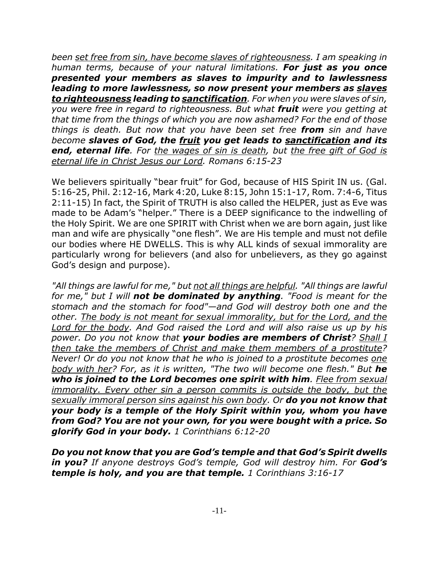*been set free from sin, have become slaves of righteousness. I am speaking in human terms, because of your natural limitations. For just as you once presented your members as slaves to impurity and to lawlessness leading to more lawlessness, so now present your members as slaves to righteousness leading to sanctification. For when you were slaves of sin, you were free in regard to righteousness. But what fruit were you getting at that time from the things of which you are now ashamed? For the end of those things is death. But now that you have been set free from sin and have become slaves of God, the fruit you get leads to sanctification and its end, eternal life. For the wages of sin is death, but the free gift of God is eternal life in Christ Jesus our Lord. Romans 6:15-23*

We believers spiritually "bear fruit" for God, because of HIS Spirit IN us. (Gal. 5:16-25, Phil. 2:12-16, Mark 4:20, Luke 8:15, John 15:1-17, Rom. 7:4-6, Titus 2:11-15) In fact, the Spirit of TRUTH is also called the HELPER, just as Eve was made to be Adam's "helper." There is a DEEP significance to the indwelling of the Holy Spirit. We are one SPIRIT with Christ when we are born again, just like man and wife are physically "one flesh". We are His temple and must not defile our bodies where HE DWELLS. This is why ALL kinds of sexual immorality are particularly wrong for believers (and also for unbelievers, as they go against God's design and purpose).

*"All things are lawful for me," but not all things are helpful. "All things are lawful for me," but I will not be dominated by anything. "Food is meant for the stomach and the stomach for food"—and God will destroy both one and the other. The body is not meant for sexual immorality, but for the Lord, and the Lord for the body. And God raised the Lord and will also raise us up by his power. Do you not know that your bodies are members of Christ? Shall I then take the members of Christ and make them members of a prostitute? Never! Or do you not know that he who is joined to a prostitute becomes one body with her? For, as it is written, "The two will become one flesh." But he who is joined to the Lord becomes one spirit with him. Flee from sexual immorality. Every other sin a person commits is outside the body, but the sexually immoral person sins against his own body. Or do you not know that your body is a temple of the Holy Spirit within you, whom you have from God? You are not your own, for you were bought with a price. So glorify God in your body. 1 Corinthians 6:12-20*

*Do you not know that you are God's temple and that God's Spirit dwells in you? If anyone destroys God's temple, God will destroy him. For God's temple is holy, and you are that temple. 1 Corinthians 3:16-17*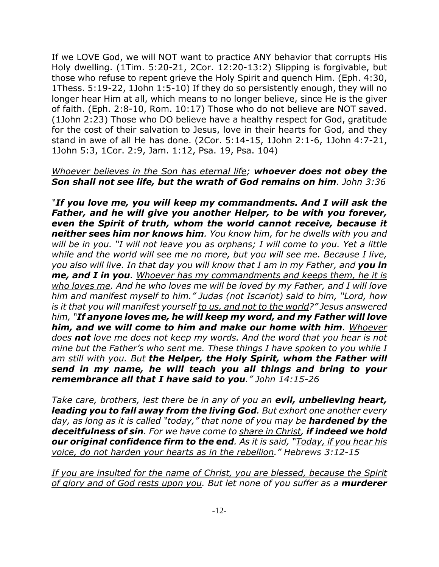If we LOVE God, we will NOT want to practice ANY behavior that corrupts His Holy dwelling. (1Tim. 5:20-21, 2Cor. 12:20-13:2) Slipping is forgivable, but those who refuse to repent grieve the Holy Spirit and quench Him. (Eph. 4:30, 1Thess. 5:19-22, 1John 1:5-10) If they do so persistently enough, they will no longer hear Him at all, which means to no longer believe, since He is the giver of faith. (Eph. 2:8-10, Rom. 10:17) Those who do not believe are NOT saved. (1John 2:23) Those who DO believe have a healthy respect for God, gratitude for the cost of their salvation to Jesus, love in their hearts for God, and they stand in awe of all He has done. (2Cor. 5:14-15, 1John 2:1-6, 1John 4:7-21, 1John 5:3, 1Cor. 2:9, Jam. 1:12, Psa. 19, Psa. 104)

## *Whoever believes in the Son has eternal life; whoever does not obey the Son shall not see life, but the wrath of God remains on him. John 3:36*

*"If you love me, you will keep my commandments. And I will ask the Father, and he will give you another Helper, to be with you forever, even the Spirit of truth, whom the world cannot receive, because it neither sees him nor knows him. You know him, for he dwells with you and will be in you. "I will not leave you as orphans; I will come to you. Yet a little while and the world will see me no more, but you will see me. Because I live, you also will live. In that day you will know that I am in my Father, and you in me, and I in you. Whoever has my commandments and keeps them, he it is who loves me. And he who loves me will be loved by my Father, and I will love him and manifest myself to him." Judas (not Iscariot) said to him, "Lord, how is it that you will manifest yourself to us, and not to the world?" Jesus answered him, "If anyone loves me, he will keep my word, and my Father will love him, and we will come to him and make our home with him. Whoever does not love me does not keep my words. And the word that you hear is not mine but the Father's who sent me. These things I have spoken to you while I am still with you. But the Helper, the Holy Spirit, whom the Father will send in my name, he will teach you all things and bring to your remembrance all that I have said to you." John 14:15-26*

*Take care, brothers, lest there be in any of you an evil, unbelieving heart, leading you to fall away from the living God. But exhort one another every day, as long as it is called "today," that none of you may be hardened by the deceitfulness of sin. For we have come to share in Christ, if indeed we hold our original confidence firm to the end. As it is said, "Today, if you hear his voice, do not harden your hearts as in the rebellion." Hebrews 3:12-15*

*If you are insulted for the name of Christ, you are blessed, because the Spirit of glory and of God rests upon you. But let none of you suffer as a murderer*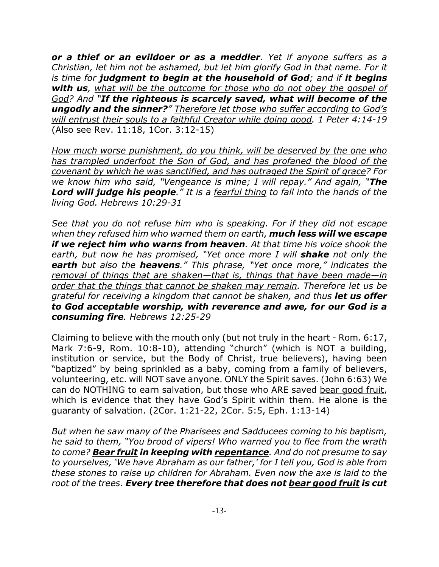*or a thief or an evildoer or as a meddler. Yet if anyone suffers as a Christian, let him not be ashamed, but let him glorify God in that name. For it is time for judgment to begin at the household of God; and if it begins with us, what will be the outcome for those who do not obey the gospel of God? And "If the righteous is scarcely saved, what will become of the ungodly and the sinner?" Therefore let those who suffer according to God's will entrust their souls to a faithful Creator while doing good. 1 Peter 4:14-19* (Also see Rev. 11:18, 1Cor. 3:12-15)

*How much worse punishment, do you think, will be deserved by the one who has trampled underfoot the Son of God, and has profaned the blood of the covenant by which he was sanctified, and has outraged the Spirit of grace? For we know him who said, "Vengeance is mine; I will repay." And again, "The Lord will judge his people." It is a fearful thing to fall into the hands of the living God. Hebrews 10:29-31*

*See that you do not refuse him who is speaking. For if they did not escape when they refused him who warned them on earth, much less will we escape if we reject him who warns from heaven. At that time his voice shook the earth, but now he has promised, "Yet once more I will shake not only the earth but also the heavens." This phrase, "Yet once more," indicates the removal of things that are shaken—that is, things that have been made—in order that the things that cannot be shaken may remain. Therefore let us be grateful for receiving a kingdom that cannot be shaken, and thus let us offer to God acceptable worship, with reverence and awe, for our God is a consuming fire. Hebrews 12:25-29*

Claiming to believe with the mouth only (but not truly in the heart - Rom. 6:17, Mark 7:6-9, Rom. 10:8-10), attending "church" (which is NOT a building, institution or service, but the Body of Christ, true believers), having been "baptized" by being sprinkled as a baby, coming from a family of believers, volunteering, etc. will NOT save anyone. ONLY the Spirit saves. (John 6:63) We can do NOTHING to earn salvation, but those who ARE saved bear good fruit, which is evidence that they have God's Spirit within them. He alone is the guaranty of salvation. (2Cor. 1:21-22, 2Cor. 5:5, Eph. 1:13-14)

*But when he saw many of the Pharisees and Sadducees coming to his baptism, he said to them, "You brood of vipers! Who warned you to flee from the wrath to come? Bear fruit in keeping with repentance. And do not presume to say to yourselves, 'We have Abraham as our father,' for I tell you, God is able from these stones to raise up children for Abraham. Even now the axe is laid to the root of the trees. Every tree therefore that does not bear good fruit is cut*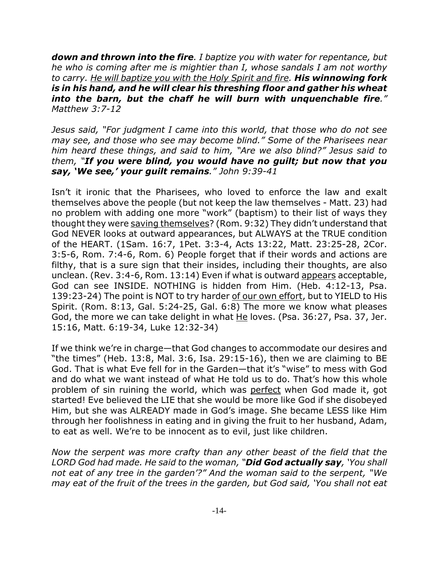*down and thrown into the fire. I baptize you with water for repentance, but he who is coming after me is mightier than I, whose sandals I am not worthy to carry. He will baptize you with the Holy Spirit and fire. His winnowing fork is in his hand, and he will clear his threshing floor and gather his wheat into the barn, but the chaff he will burn with unquenchable fire." Matthew 3:7-12*

*Jesus said, "For judgment I came into this world, that those who do not see may see, and those who see may become blind." Some of the Pharisees near him heard these things, and said to him, "Are we also blind?" Jesus said to them, "If you were blind, you would have no guilt; but now that you say, 'We see,' your guilt remains." John 9:39-41*

Isn't it ironic that the Pharisees, who loved to enforce the law and exalt themselves above the people (but not keep the law themselves - Matt. 23) had no problem with adding one more "work" (baptism) to their list of ways they thought they were saving themselves? (Rom. 9:32) They didn't understand that God NEVER looks at outward appearances, but ALWAYS at the TRUE condition of the HEART. (1Sam. 16:7, 1Pet. 3:3-4, Acts 13:22, Matt. 23:25-28, 2Cor. 3:5-6, Rom. 7:4-6, Rom. 6) People forget that if their words and actions are filthy, that is a sure sign that their insides, including their thoughts, are also unclean. (Rev. 3:4-6, Rom. 13:14) Even if what is outward appears acceptable, God can see INSIDE. NOTHING is hidden from Him. (Heb. 4:12-13, Psa. 139:23-24) The point is NOT to try harder of our own effort, but to YIELD to His Spirit. (Rom. 8:13, Gal. 5:24-25, Gal. 6:8) The more we know what pleases God, the more we can take delight in what He loves. (Psa. 36:27, Psa. 37, Jer. 15:16, Matt. 6:19-34, Luke 12:32-34)

If we think we're in charge—that God changes to accommodate our desires and "the times" (Heb. 13:8, Mal. 3:6, Isa. 29:15-16), then we are claiming to BE God. That is what Eve fell for in the Garden—that it's "wise" to mess with God and do what we want instead of what He told us to do. That's how this whole problem of sin ruining the world, which was perfect when God made it, got started! Eve believed the LIE that she would be more like God if she disobeyed Him, but she was ALREADY made in God's image. She became LESS like Him through her foolishness in eating and in giving the fruit to her husband, Adam, to eat as well. We're to be innocent as to evil, just like children.

*Now the serpent was more crafty than any other beast of the field that the LORD God had made. He said to the woman, "Did God actually say, 'You shall not eat of any tree in the garden'?" And the woman said to the serpent, "We may eat of the fruit of the trees in the garden, but God said, 'You shall not eat*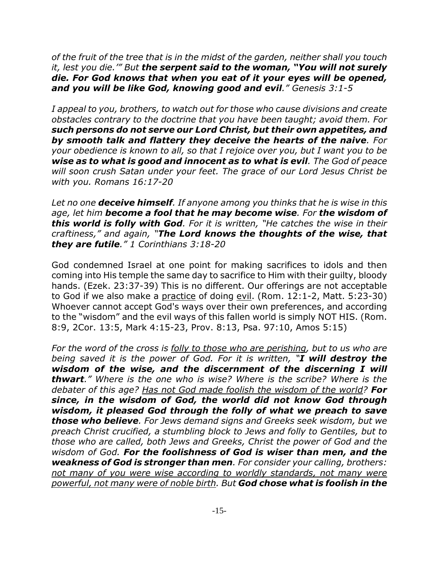*of the fruit of the tree that is in the midst of the garden, neither shall you touch it, lest you die.'" But the serpent said to the woman, "You will not surely die. For God knows that when you eat of it your eyes will be opened, and you will be like God, knowing good and evil." Genesis 3:1-5*

*I appeal to you, brothers, to watch out for those who cause divisions and create obstacles contrary to the doctrine that you have been taught; avoid them. For such persons do not serve our Lord Christ, but their own appetites, and by smooth talk and flattery they deceive the hearts of the naive. For your obedience is known to all, so that I rejoice over you, but I want you to be wise as to what is good and innocent as to what is evil. The God of peace will soon crush Satan under your feet. The grace of our Lord Jesus Christ be with you. Romans 16:17-20*

*Let no one deceive himself. If anyone among you thinks that he is wise in this age, let him become a fool that he may become wise. For the wisdom of this world is folly with God. For it is written, "He catches the wise in their craftiness," and again, "The Lord knows the thoughts of the wise, that they are futile." 1 Corinthians 3:18-20*

God condemned Israel at one point for making sacrifices to idols and then coming into His temple the same day to sacrifice to Him with their guilty, bloody hands. (Ezek. 23:37-39) This is no different. Our offerings are not acceptable to God if we also make a practice of doing evil. (Rom. 12:1-2, Matt. 5:23-30) Whoever cannot accept God's ways over their own preferences, and according to the "wisdom" and the evil ways of this fallen world is simply NOT HIS. (Rom. 8:9, 2Cor. 13:5, Mark 4:15-23, Prov. 8:13, Psa. 97:10, Amos 5:15)

*For the word of the cross is folly to those who are perishing, but to us who are being saved it is the power of God. For it is written, "I will destroy the wisdom of the wise, and the discernment of the discerning I will thwart." Where is the one who is wise? Where is the scribe? Where is the debater of this age? Has not God made foolish the wisdom of the world? For since, in the wisdom of God, the world did not know God through wisdom, it pleased God through the folly of what we preach to save those who believe. For Jews demand signs and Greeks seek wisdom, but we preach Christ crucified, a stumbling block to Jews and folly to Gentiles, but to those who are called, both Jews and Greeks, Christ the power of God and the wisdom of God. For the foolishness of God is wiser than men, and the weakness of God is stronger than men. For consider your calling, brothers: not many of you were wise according to worldly standards, not many were powerful, not many were of noble birth. But God chose what is foolish in the*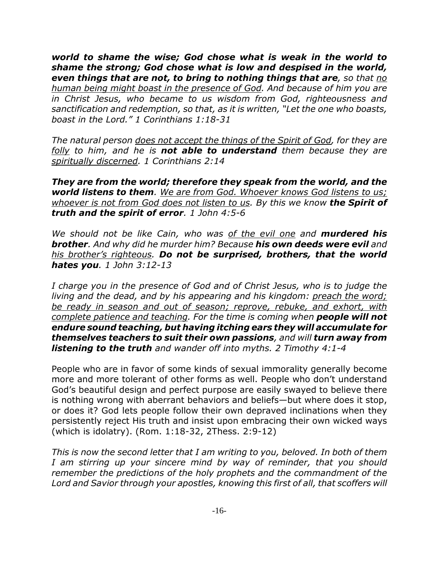*world to shame the wise; God chose what is weak in the world to shame the strong; God chose what is low and despised in the world, even things that are not, to bring to nothing things that are, so that no human being might boast in the presence of God. And because of him you are in Christ Jesus, who became to us wisdom from God, righteousness and sanctification and redemption, so that, as it is written, "Let the one who boasts, boast in the Lord." 1 Corinthians 1:18-31*

*The natural person does not accept the things of the Spirit of God, for they are folly to him, and he is not able to understand them because they are spiritually discerned. 1 Corinthians 2:14*

*They are from the world; therefore they speak from the world, and the world listens to them. We are from God. Whoever knows God listens to us; whoever is not from God does not listen to us. By this we know the Spirit of truth and the spirit of error. 1 John 4:5-6*

*We should not be like Cain, who was of the evil one and murdered his brother. And why did he murder him? Because his own deeds were evil and his brother's righteous. Do not be surprised, brothers, that the world hates you. 1 John 3:12-13*

*I charge you in the presence of God and of Christ Jesus, who is to judge the living and the dead, and by his appearing and his kingdom: preach the word; be ready in season and out of season; reprove, rebuke, and exhort, with complete patience and teaching. For the time is coming when people will not endure sound teaching, but having itching ears they will accumulate for themselves teachers to suit their own passions, and will turn away from listening to the truth and wander off into myths. 2 Timothy 4:1-4*

People who are in favor of some kinds of sexual immorality generally become more and more tolerant of other forms as well. People who don't understand God's beautiful design and perfect purpose are easily swayed to believe there is nothing wrong with aberrant behaviors and beliefs—but where does it stop, or does it? God lets people follow their own depraved inclinations when they persistently reject His truth and insist upon embracing their own wicked ways (which is idolatry). (Rom. 1:18-32, 2Thess. 2:9-12)

*This is now the second letter that I am writing to you, beloved. In both of them I am stirring up your sincere mind by way of reminder, that you should remember the predictions of the holy prophets and the commandment of the Lord and Savior through your apostles, knowing this first of all, that scoffers will*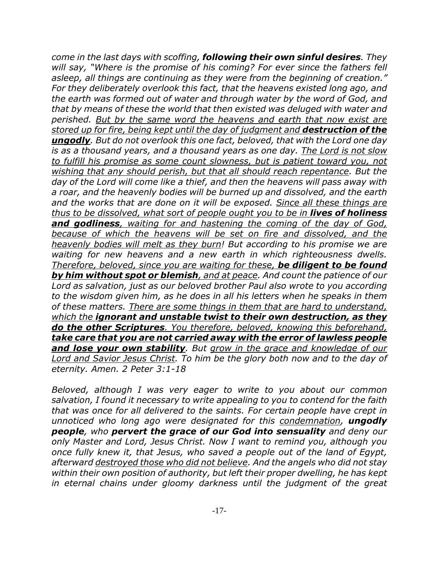*come in the last days with scoffing, following their own sinful desires. They will say, "Where is the promise of his coming? For ever since the fathers fell asleep, all things are continuing as they were from the beginning of creation." For they deliberately overlook this fact, that the heavens existed long ago, and the earth was formed out of water and through water by the word of God, and that by means of these the world that then existed was deluged with water and perished. But by the same word the heavens and earth that now exist are stored up for fire, being kept until the day of judgment and destruction of the ungodly. But do not overlook this one fact, beloved, that with the Lord one day is as a thousand years, and a thousand years as one day. The Lord is not slow to fulfill his promise as some count slowness, but is patient toward you, not wishing that any should perish, but that all should reach repentance. But the day of the Lord will come like a thief, and then the heavens will pass away with a roar, and the heavenly bodies will be burned up and dissolved, and the earth and the works that are done on it will be exposed. Since all these things are thus to be dissolved, what sort of people ought you to be in lives of holiness and godliness, waiting for and hastening the coming of the day of God, because of which the heavens will be set on fire and dissolved, and the heavenly bodies will melt as they burn! But according to his promise we are waiting for new heavens and a new earth in which righteousness dwells. Therefore, beloved, since you are waiting for these, be diligent to be found by him without spot or blemish, and at peace. And count the patience of our Lord as salvation, just as our beloved brother Paul also wrote to you according to the wisdom given him, as he does in all his letters when he speaks in them of these matters. There are some things in them that are hard to understand, which the ignorant and unstable twist to their own destruction, as they do the other Scriptures. You therefore, beloved, knowing this beforehand, take care that you are not carried away with the error of lawless people and lose your own stability. But grow in the grace and knowledge of our Lord and Savior Jesus Christ. To him be the glory both now and to the day of eternity. Amen. 2 Peter 3:1-18*

*Beloved, although I was very eager to write to you about our common salvation, I found it necessary to write appealing to you to contend for the faith that was once for all delivered to the saints. For certain people have crept in unnoticed who long ago were designated for this condemnation, ungodly people, who pervert the grace of our God into sensuality and deny our only Master and Lord, Jesus Christ. Now I want to remind you, although you once fully knew it, that Jesus, who saved a people out of the land of Egypt, afterward destroyed those who did not believe. And the angels who did not stay within their own position of authority, but left their proper dwelling, he has kept in eternal chains under gloomy darkness until the judgment of the great*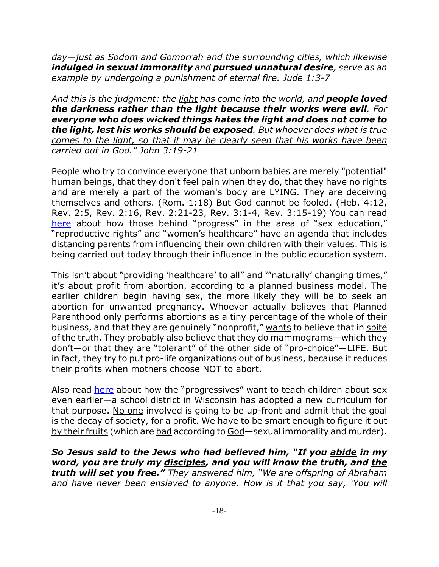*day—just as Sodom and Gomorrah and the surrounding cities, which likewise indulged in sexual immorality and pursued unnatural desire, serve as an example by undergoing a punishment of eternal fire. Jude 1:3-7*

And this is the judgment: the light has come into the world, and **people loved** *the darkness rather than the light because their works were evil. For everyone who does wicked things hates the light and does not come to the light, lest his works should be exposed. But whoever does what is true comes to the light, so that it may be clearly seen that his works have been carried out in God." John 3:19-21*

People who try to convince everyone that unborn babies are merely "potential" human beings, that they don't feel pain when they do, that they have no rights and are merely a part of the woman's body are LYING. They are deceiving themselves and others. (Rom. 1:18) But God cannot be fooled. (Heb. 4:12, Rev. 2:5, Rev. 2:16, Rev. 2:21-23, Rev. 3:1-4, Rev. 3:15-19) You can read here about how those behind "progress" in the area of "sex education," "reproductive rights" and "women's healthcare" have an agenda that includes distancing parents from influencing their own children with their values. This is being carried out today through their influence in the public education system.

This isn't about "providing 'healthcare' to all" and "'naturally' changing times," it's about profit from abortion, according to a planned business model. The earlier children begin having sex, the more likely they will be to seek an abortion for unwanted pregnancy. Whoever actually believes that Planned Parenthood only performs abortions as a tiny percentage of the whole of their business, and that they are genuinely "nonprofit," wants to believe that in spite of the truth. They probably also believe that they do mammograms—which they don't—or that they are "tolerant" of the other side of "pro-choice"—LIFE. But in fact, they try to put pro-life organizations out of business, because it reduces their profits when mothers choose NOT to abort.

Also read here about how the "progressives" want to teach children about sex even earlier—a school district in Wisconsin has adopted a new curriculum for that purpose. No one involved is going to be up-front and admit that the goal is the decay of society, for a profit. We have to be smart enough to figure it out by their fruits (which are bad according to God—sexual immorality and murder).

*So Jesus said to the Jews who had believed him, "If you abide in my word, you are truly my disciples, and you will know the truth, and the truth will set you free." They answered him, "We are offspring of Abraham and have never been enslaved to anyone. How is it that you say, 'You will*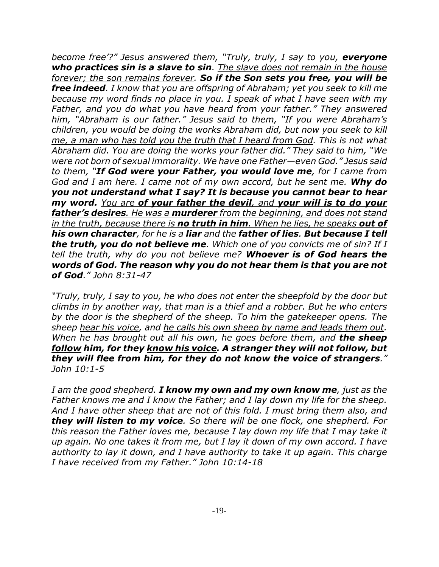*become free'?" Jesus answered them, "Truly, truly, I say to you, everyone who practices sin is a slave to sin. The slave does not remain in the house forever; the son remains forever. So if the Son sets you free, you will be free indeed. I know that you are offspring of Abraham; yet you seek to kill me because my word finds no place in you. I speak of what I have seen with my Father, and you do what you have heard from your father." They answered him, "Abraham is our father." Jesus said to them, "If you were Abraham's children, you would be doing the works Abraham did, but now you seek to kill me, a man who has told you the truth that I heard from God. This is not what Abraham did. You are doing the works your father did." They said to him, "We were not born of sexual immorality. We have one Father—even God." Jesus said to them, "If God were your Father, you would love me, for I came from God and I am here. I came not of my own accord, but he sent me. Why do you not understand what I say? It is because you cannot bear to hear my word. You are of your father the devil, and your will is to do your father's desires. He was a murderer from the beginning, and does not stand in the truth, because there is no truth in him. When he lies, he speaks out of his own character, for he is a liar and the father of lies. But because I tell the truth, you do not believe me. Which one of you convicts me of sin? If I tell the truth, why do you not believe me? Whoever is of God hears the words of God. The reason why you do not hear them is that you are not of God." John 8:31-47*

*"Truly, truly, I say to you, he who does not enter the sheepfold by the door but climbs in by another way, that man is a thief and a robber. But he who enters by the door is the shepherd of the sheep. To him the gatekeeper opens. The sheep hear his voice, and he calls his own sheep by name and leads them out. When he has brought out all his own, he goes before them, and the sheep follow him, for they know his voice. A stranger they will not follow, but they will flee from him, for they do not know the voice of strangers." John 10:1-5*

*I am the good shepherd. I know my own and my own know me, just as the Father knows me and I know the Father; and I lay down my life for the sheep. And I have other sheep that are not of this fold. I must bring them also, and they will listen to my voice. So there will be one flock, one shepherd. For this reason the Father loves me, because I lay down my life that I may take it up again. No one takes it from me, but I lay it down of my own accord. I have authority to lay it down, and I have authority to take it up again. This charge I have received from my Father." John 10:14-18*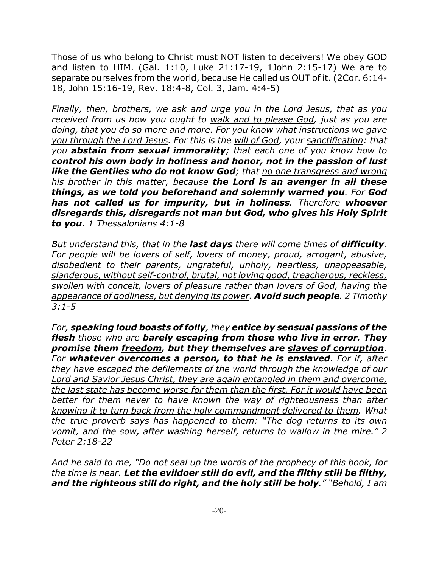Those of us who belong to Christ must NOT listen to deceivers! We obey GOD and listen to HIM. (Gal. 1:10, Luke 21:17-19, 1John 2:15-17) We are to separate ourselves from the world, because He called us OUT of it. (2Cor. 6:14- 18, John 15:16-19, Rev. 18:4-8, Col. 3, Jam. 4:4-5)

*Finally, then, brothers, we ask and urge you in the Lord Jesus, that as you received from us how you ought to walk and to please God, just as you are doing, that you do so more and more. For you know what instructions we gave you through the Lord Jesus. For this is the will of God, your sanctification: that you abstain from sexual immorality; that each one of you know how to control his own body in holiness and honor, not in the passion of lust like the Gentiles who do not know God; that no one transgress and wrong his brother in this matter, because the Lord is an avenger in all these things, as we told you beforehand and solemnly warned you. For God has not called us for impurity, but in holiness. Therefore whoever disregards this, disregards not man but God, who gives his Holy Spirit to you. 1 Thessalonians 4:1-8*

*But understand this, that in the last days there will come times of difficulty. For people will be lovers of self, lovers of money, proud, arrogant, abusive, disobedient to their parents, ungrateful, unholy, heartless, unappeasable, slanderous, without self-control, brutal, not loving good, treacherous, reckless, swollen with conceit, lovers of pleasure rather than lovers of God, having the appearance of godliness, but denying its power. Avoid such people. 2 Timothy 3:1-5*

*For, speaking loud boasts of folly, they entice by sensual passions of the flesh those who are barely escaping from those who live in error. They promise them freedom, but they themselves are slaves of corruption. For whatever overcomes a person, to that he is enslaved. For if, after they have escaped the defilements of the world through the knowledge of our Lord and Savior Jesus Christ, they are again entangled in them and overcome, the last state has become worse for them than the first. For it would have been better for them never to have known the way of righteousness than after knowing it to turn back from the holy commandment delivered to them. What the true proverb says has happened to them: "The dog returns to its own vomit, and the sow, after washing herself, returns to wallow in the mire." 2 Peter 2:18-22*

*And he said to me, "Do not seal up the words of the prophecy of this book, for the time is near. Let the evildoer still do evil, and the filthy still be filthy, and the righteous still do right, and the holy still be holy." "Behold, I am*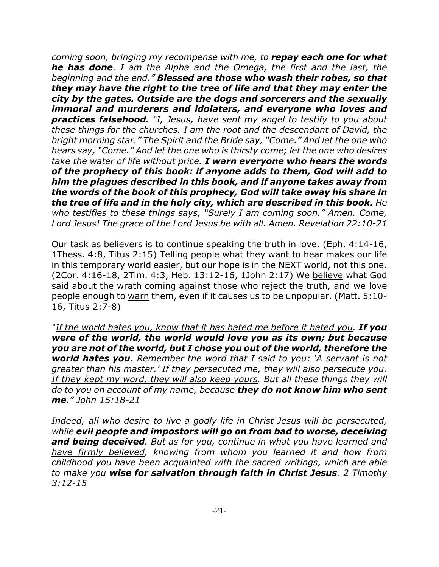*coming soon, bringing my recompense with me, to repay each one for what he has done. I am the Alpha and the Omega, the first and the last, the beginning and the end." Blessed are those who wash their robes, so that they may have the right to the tree of life and that they may enter the city by the gates. Outside are the dogs and sorcerers and the sexually immoral and murderers and idolaters, and everyone who loves and practices falsehood. "I, Jesus, have sent my angel to testify to you about these things for the churches. I am the root and the descendant of David, the bright morning star." The Spirit and the Bride say, "Come." And let the one who hears say, "Come." And let the one who is thirsty come; let the one who desires take the water of life without price. I warn everyone who hears the words of the prophecy of this book: if anyone adds to them, God will add to him the plagues described in this book, and if anyone takes away from the words of the book of this prophecy, God will take away his share in the tree of life and in the holy city, which are described in this book. He who testifies to these things says, "Surely I am coming soon." Amen. Come, Lord Jesus! The grace of the Lord Jesus be with all. Amen. Revelation 22:10-21*

Our task as believers is to continue speaking the truth in love. (Eph. 4:14-16, 1Thess. 4:8, Titus 2:15) Telling people what they want to hear makes our life in this temporary world easier, but our hope is in the NEXT world, not this one. (2Cor. 4:16-18, 2Tim. 4:3, Heb. 13:12-16, 1John 2:17) We believe what God said about the wrath coming against those who reject the truth, and we love people enough to warn them, even if it causes us to be unpopular. (Matt. 5:10- 16, Titus 2:7-8)

*"If the world hates you, know that it has hated me before it hated you. If you were of the world, the world would love you as its own; but because you are not of the world, but I chose you out of the world, therefore the world hates you. Remember the word that I said to you: 'A servant is not greater than his master.' If they persecuted me, they will also persecute you. If they kept my word, they will also keep yours. But all these things they will do to you on account of my name, because they do not know him who sent me." John 15:18-21*

*Indeed, all who desire to live a godly life in Christ Jesus will be persecuted, while evil people and impostors will go on from bad to worse, deceiving and being deceived. But as for you, continue in what you have learned and have firmly believed, knowing from whom you learned it and how from childhood you have been acquainted with the sacred writings, which are able to make you wise for salvation through faith in Christ Jesus. 2 Timothy 3:12-15*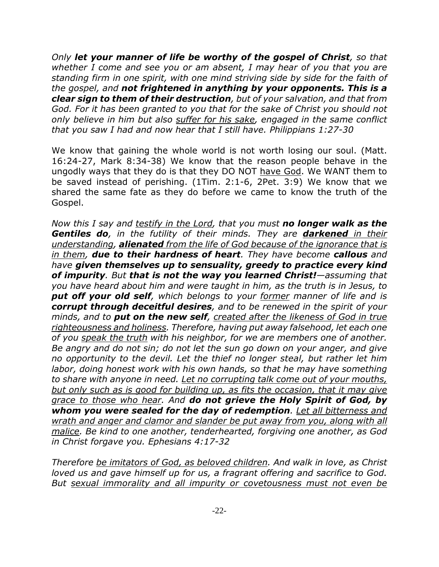*Only let your manner of life be worthy of the gospel of Christ, so that whether I come and see you or am absent, I may hear of you that you are standing firm in one spirit, with one mind striving side by side for the faith of the gospel, and not frightened in anything by your opponents. This is a clear sign to them of their destruction, but of your salvation, and that from God. For it has been granted to you that for the sake of Christ you should not only believe in him but also suffer for his sake, engaged in the same conflict that you saw I had and now hear that I still have. Philippians 1:27-30*

We know that gaining the whole world is not worth losing our soul. (Matt. 16:24-27, Mark 8:34-38) We know that the reason people behave in the ungodly ways that they do is that they DO NOT have God. We WANT them to be saved instead of perishing. (1Tim. 2:1-6, 2Pet. 3:9) We know that we shared the same fate as they do before we came to know the truth of the Gospel.

*Now this I say and testify in the Lord, that you must no longer walk as the Gentiles do, in the futility of their minds. They are darkened in their understanding, alienated from the life of God because of the ignorance that is in them, due to their hardness of heart. They have become callous and have given themselves up to sensuality, greedy to practice every kind of impurity. But that is not the way you learned Christ!—assuming that you have heard about him and were taught in him, as the truth is in Jesus, to put off your old self, which belongs to your former manner of life and is corrupt through deceitful desires, and to be renewed in the spirit of your minds, and to put on the new self, created after the likeness of God in true righteousness and holiness. Therefore, having put away falsehood, let each one of you speak the truth with his neighbor, for we are members one of another. Be angry and do not sin; do not let the sun go down on your anger, and give no opportunity to the devil. Let the thief no longer steal, but rather let him labor, doing honest work with his own hands, so that he may have something to share with anyone in need. Let no corrupting talk come out of your mouths, but only such as is good for building up, as fits the occasion, that it may give grace to those who hear. And do not grieve the Holy Spirit of God, by whom you were sealed for the day of redemption. Let all bitterness and wrath and anger and clamor and slander be put away from you, along with all malice. Be kind to one another, tenderhearted, forgiving one another, as God in Christ forgave you. Ephesians 4:17-32*

*Therefore be imitators of God, as beloved children. And walk in love, as Christ loved us and gave himself up for us, a fragrant offering and sacrifice to God. But sexual immorality and all impurity or covetousness must not even be*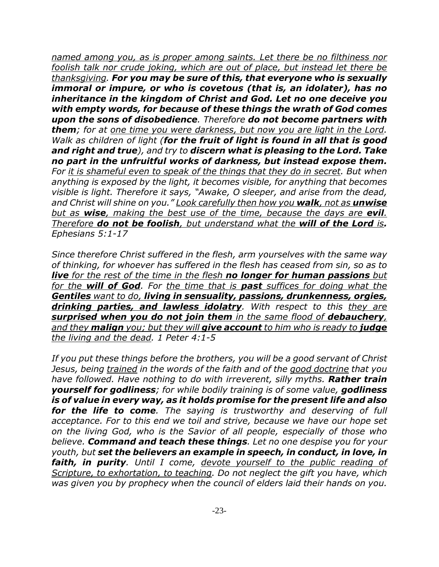*named among you, as is proper among saints. Let there be no filthiness nor foolish talk nor crude joking, which are out of place, but instead let there be thanksgiving. For you may be sure of this, that everyone who is sexually immoral or impure, or who is covetous (that is, an idolater), has no inheritance in the kingdom of Christ and God. Let no one deceive you with empty words, for because of these things the wrath of God comes upon the sons of disobedience. Therefore do not become partners with them; for at one time you were darkness, but now you are light in the Lord. Walk as children of light (for the fruit of light is found in all that is good and right and true), and try to discern what is pleasing to the Lord. Take no part in the unfruitful works of darkness, but instead expose them. For it is shameful even to speak of the things that they do in secret. But when anything is exposed by the light, it becomes visible, for anything that becomes visible is light. Therefore it says, "Awake, O sleeper, and arise from the dead, and Christ will shine on you." Look carefully then how you walk, not as unwise but as wise, making the best use of the time, because the days are evil. Therefore do not be foolish, but understand what the will of the Lord is. Ephesians 5:1-17*

*Since therefore Christ suffered in the flesh, arm yourselves with the same way of thinking, for whoever has suffered in the flesh has ceased from sin, so as to live for the rest of the time in the flesh no longer for human passions but for the will of God. For the time that is past suffices for doing what the Gentiles want to do, living in sensuality, passions, drunkenness, orgies, drinking parties, and lawless idolatry. With respect to this they are surprised when you do not join them in the same flood of debauchery, and they malign you; but they will give account to him who is ready to judge the living and the dead. 1 Peter 4:1-5*

*If you put these things before the brothers, you will be a good servant of Christ Jesus, being trained in the words of the faith and of the good doctrine that you have followed. Have nothing to do with irreverent, silly myths. Rather train yourself for godliness; for while bodily training is of some value, godliness is of value in every way, as it holds promise for the present life and also for the life to come. The saying is trustworthy and deserving of full acceptance. For to this end we toil and strive, because we have our hope set on the living God, who is the Savior of all people, especially of those who believe. Command and teach these things. Let no one despise you for your youth, but set the believers an example in speech, in conduct, in love, in faith, in purity. Until I come, devote yourself to the public reading of Scripture, to exhortation, to teaching. Do not neglect the gift you have, which was given you by prophecy when the council of elders laid their hands on you.*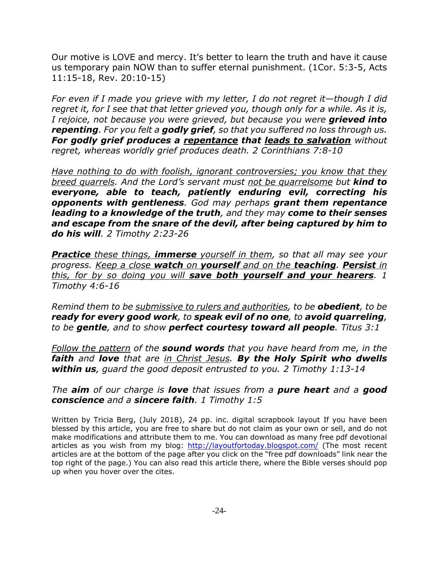Our motive is LOVE and mercy. It's better to learn the truth and have it cause us temporary pain NOW than to suffer eternal punishment. (1Cor. 5:3-5, Acts 11:15-18, Rev. 20:10-15)

*For even if I made you grieve with my letter, I do not regret it—though I did regret it, for I see that that letter grieved you, though only for a while. As it is, I rejoice, not because you were grieved, but because you were grieved into repenting. For you felt a godly grief, so that you suffered no loss through us. For godly grief produces a repentance that leads to salvation without regret, whereas worldly grief produces death. 2 Corinthians 7:8-10*

*Have nothing to do with foolish, ignorant controversies; you know that they breed quarrels. And the Lord's servant must not be quarrelsome but kind to everyone, able to teach, patiently enduring evil, correcting his opponents with gentleness. God may perhaps grant them repentance leading to a knowledge of the truth, and they may come to their senses and escape from the snare of the devil, after being captured by him to do his will. 2 Timothy 2:23-26*

*Practice these things, immerse yourself in them, so that all may see your progress. Keep a close watch on yourself and on the teaching. Persist in this, for by so doing you will save both yourself and your hearers. 1 Timothy 4:6-16*

*Remind them to be submissive to rulers and authorities, to be obedient, to be ready for every good work, to speak evil of no one, to avoid quarreling, to be gentle, and to show perfect courtesy toward all people. Titus 3:1*

*Follow the pattern of the sound words that you have heard from me, in the faith and love that are in Christ Jesus. By the Holy Spirit who dwells within us, guard the good deposit entrusted to you. 2 Timothy 1:13-14*

*The aim of our charge is love that issues from a pure heart and a good conscience and a sincere faith. 1 Timothy 1:5*

Written by Tricia Berg, (July 2018), 24 pp. inc. digital scrapbook layout If you have been blessed by this article, you are free to share but do not claim as your own or sell, and do not make modifications and attribute them to me. You can download as many free pdf devotional articles as you wish from my blog: http://layoutfortoday.blogspot.com/ (The most recent articles are at the bottom of the page after you click on the "free pdf downloads" link near the top right of the page.) You can also read this article there, where the Bible verses should pop up when you hover over the cites.